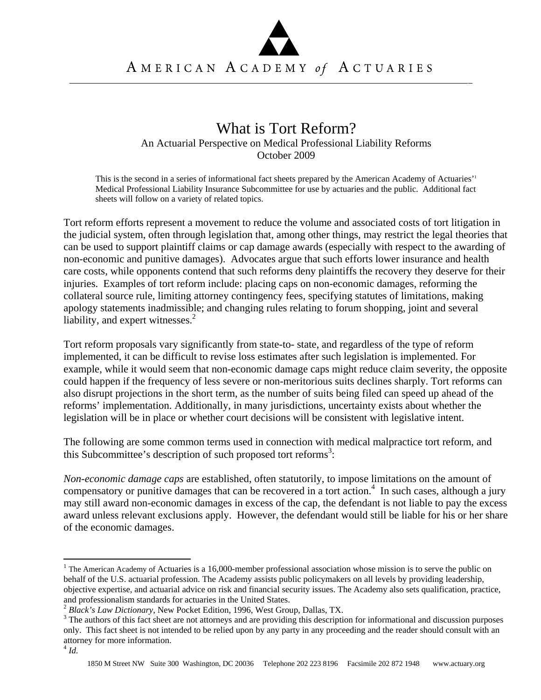## What is Tort Reform?

An Actuarial Perspective on Medical Professional Liability Reforms October 2009

This is the second in a series of informational fact sheets prepared by the American Academy of Actuaries'1 Medical Professional Liability Insurance Subcommittee for use by actuaries and the public. Additional fact sheets will follow on a variety of related topics.

Tort reform efforts represent a movement to reduce the volume and associated costs of tort litigation in the judicial system, often through legislation that, among other things, may restrict the legal theories that can be used to support plaintiff claims or cap damage awards (especially with respect to the awarding of non-economic and punitive damages). Advocates argue that such efforts lower insurance and health care costs, while opponents contend that such reforms deny plaintiffs the recovery they deserve for their injuries. Examples of tort reform include: placing caps on non-economic damages, reforming the collateral source rule, limiting attorney contingency fees, specifying statutes of limitations, making apology statements inadmissible; and changing rules relating to forum shopping, joint and several liability, and expert witnesses. $2$ 

Tort reform proposals vary significantly from state-to- state, and regardless of the type of reform implemented, it can be difficult to revise loss estimates after such legislation is implemented. For example, while it would seem that non-economic damage caps might reduce claim severity, the opposite could happen if the frequency of less severe or non-meritorious suits declines sharply. Tort reforms can also disrupt projections in the short term, as the number of suits being filed can speed up ahead of the reforms' implementation. Additionally, in many jurisdictions, uncertainty exists about whether the legislation will be in place or whether court decisions will be consistent with legislative intent.

The following are some common terms used in connection with medical malpractice tort reform, and this Subcommittee's description of such proposed tort reforms<sup>3</sup>:

*Non-economic damage caps* are established, often statutorily, to impose limitations on the amount of compensatory or punitive damages that can be recovered in a tort action.<sup>4</sup> In such cases, although a jury may still award non-economic damages in excess of the cap, the defendant is not liable to pay the excess award unless relevant exclusions apply. However, the defendant would still be liable for his or her share of the economic damages.

 $\overline{a}$ 

 $1$  The American Academy of Actuaries is a 16,000-member professional association whose mission is to serve the public on behalf of the U.S. actuarial profession. The Academy assists public policymakers on all levels by providing leadership, objective expertise, and actuarial advice on risk and financial security issues. The Academy also sets qualification, practice, and professionalism standards for actuaries in the United States. 2 *Black's Law Dictionary*, New Pocket Edition, 1996, West Group, Dallas, TX. 3

<sup>&</sup>lt;sup>3</sup> The authors of this fact sheet are not attorneys and are providing this description for informational and discussion purposes only. This fact sheet is not intended to be relied upon by any party in any proceeding and the reader should consult with an attorney for more information.

 $4$  *Id.*